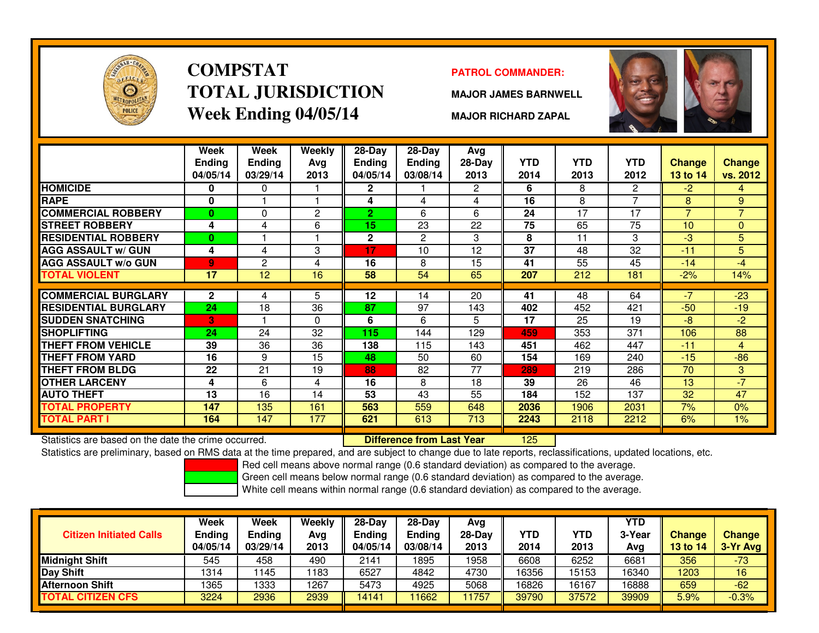

# **COMPSTATTOTAL JURISDICTIONWeek Ending 04/05/14**

### **PATROL COMMANDER:**

**MAJOR JAMES BARNWELL**



**MAJOR RICHARD ZAPAL**

|                             | Week<br>Ending<br>04/05/14 | Week<br><b>Ending</b><br>03/29/14 | Weekly<br>Ava<br>2013 | $28-Day$<br>Ending<br>04/05/14 | $28 - Day$<br><b>Ending</b><br>03/08/14 | Avg<br>$28-Day$<br>2013 | <b>YTD</b><br>2014 | <b>YTD</b><br>2013 | YTD<br>2012 | <b>Change</b><br>13 to 14 | <b>Change</b><br>vs. 2012 |
|-----------------------------|----------------------------|-----------------------------------|-----------------------|--------------------------------|-----------------------------------------|-------------------------|--------------------|--------------------|-------------|---------------------------|---------------------------|
| <b>HOMICIDE</b>             | 0                          | 0                                 |                       | $\mathbf{2}$                   |                                         | $\mathbf{2}^{\circ}$    | 6                  | 8                  | 2           | $-2$                      | 4                         |
| <b>RAPE</b>                 | 0                          |                                   |                       | 4                              | 4                                       | 4                       | 16                 | 8                  | 7           | 8                         | 9                         |
| <b>COMMERCIAL ROBBERY</b>   | $\bf{0}$                   | $\Omega$                          | $\overline{2}$        | $\overline{2}$                 | 6                                       | 6                       | 24                 | 17                 | 17          | $\overline{7}$            | $\overline{7}$            |
| <b>STREET ROBBERY</b>       | 4                          | 4                                 | 6                     | 15                             | 23                                      | 22                      | 75                 | 65                 | 75          | 10                        | $\Omega$                  |
| <b>RESIDENTIAL ROBBERY</b>  | 0                          |                                   |                       | $\mathbf{2}$                   | $\overline{2}$                          | 3                       | 8                  | 11                 | 3           | -3                        | 5                         |
| <b>AGG ASSAULT w/ GUN</b>   | 4                          | 4                                 | 3                     | 17                             | 10                                      | 12                      | 37                 | 48                 | 32          | $-11$                     | 5                         |
| <b>AGG ASSAULT w/o GUN</b>  | 9                          | 2                                 | 4                     | 16                             | 8                                       | 15                      | 41                 | 55                 | 45          | $-14$                     | $-4$                      |
| <b>TOTAL VIOLENT</b>        | 17                         | 12                                | 16                    | 58                             | 54                                      | 65                      | 207                | 212                | 181         | $-2%$                     | 14%                       |
|                             |                            |                                   |                       |                                |                                         |                         |                    |                    |             | $-7$                      |                           |
| <b>COMMERCIAL BURGLARY</b>  | $\mathbf{2}$               | 4                                 | 5                     | 12                             | 14                                      | 20                      | 41                 | 48                 | 64          |                           | $-23$                     |
| <b>RESIDENTIAL BURGLARY</b> | 24                         | 18                                | 36                    | 87                             | 97                                      | 143                     | 402                | 452                | 421         | $-50$                     | $-19$                     |
| <b>SUDDEN SNATCHING</b>     | 3                          |                                   | $\Omega$              | 6                              | 6                                       | 5                       | 17                 | 25                 | 19          | -8                        | $-2$                      |
| <b>SHOPLIFTING</b>          | 24                         | 24                                | 32                    | 115                            | 144                                     | 129                     | 459                | 353                | 371         | 106                       | 88                        |
| <b>THEFT FROM VEHICLE</b>   | 39                         | 36                                | 36                    | 138                            | 115                                     | 143                     | 451                | 462                | 447         | $-11$                     | 4                         |
| THEFT FROM YARD             | 16                         | 9                                 | 15                    | 48                             | 50                                      | 60                      | 154                | 169                | 240         | $-15$                     | $-86$                     |
| <b>THEFT FROM BLDG</b>      | 22                         | 21                                | 19                    | 88                             | 82                                      | 77                      | 289                | 219                | 286         | 70                        | 3 <sup>1</sup>            |
| <b>OTHER LARCENY</b>        | 4                          | 6                                 | 4                     | 16                             | 8                                       | 18                      | 39                 | 26                 | 46          | 13                        | $-7$                      |
| <b>AUTO THEFT</b>           | 13                         | 16                                | 14                    | 53                             | 43                                      | 55                      | 184                | 152                | 137         | 32                        | 47                        |
| TOTAL PROPERTY              | 147                        | 135                               | 161                   | 563                            | 559                                     | 648                     | 2036               | 1906               | 2031        | 7%                        | 0%                        |
| TOTAL PART I                | 164                        | 147                               | 177                   | 621                            | 613                                     | 713                     | 2243               | 2118               | 2212        | 6%                        | $1\%$                     |

Statistics are based on the date the crime occurred. **Difference from Last Year** 

Statistics are based on the date the crime occurred. **In the prepared, and are subject to change due to late reports, reclassifications, updated locations, etc.<br>Statistics are preliminary, based on RMS data at the time pre** 

Red cell means above normal range (0.6 standard deviation) as compared to the average.

Green cell means below normal range (0.6 standard deviation) as compared to the average.

| <b>Citizen Initiated Calls</b> | Week<br><b>Ending</b><br>04/05/14 | Week<br><b>Ending</b><br>03/29/14 | Weekly<br>Avg<br>2013 | $28-Dav$<br><b>Endina</b><br>04/05/14 | 28-Dav<br><b>Ending</b><br>03/08/14 | Avg<br>$28-Dav$<br>2013 | <b>YTD</b><br>2014 | YTD<br>2013 | YTD<br>3-Yea<br>Avg | <b>Change</b><br><b>13 to 14</b> | <b>Change</b><br>3-Yr Avg |
|--------------------------------|-----------------------------------|-----------------------------------|-----------------------|---------------------------------------|-------------------------------------|-------------------------|--------------------|-------------|---------------------|----------------------------------|---------------------------|
| <b>Midnight Shift</b>          | 545                               | 458                               | 490                   | 2141                                  | 895                                 | 1958                    | 6608               | 6252        | 6681                | 356                              | $-73$                     |
| Day Shift                      | 1314                              | 145                               | 1183                  | 6527                                  | 4842                                | 4730                    | 16356              | 15153       | 16340               | 1203                             | 16                        |
| <b>Afternoon Shift</b>         | 1365                              | 1333                              | 1267                  | 5473                                  | 4925                                | 5068                    | 16826              | 16167       | 16888               | 659                              | $-62$                     |
| <b>TOTAL CITIZEN CFS</b>       | 3224                              | 2936                              | 2939                  | 4141                                  | 11662                               | 1757                    | 39790              | 37572       | 39909               | 5.9%                             | $-0.3%$                   |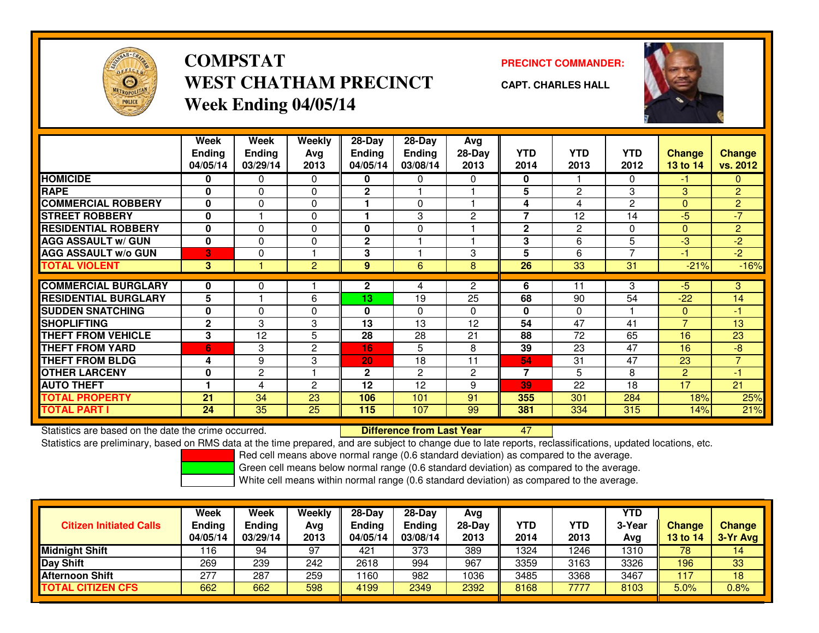

## **COMPSTATPRECINCT COMMANDER:**<br>
PRECINCT COMMANDER: **WEST CHATHAM PRECINCTWeek Ending 04/05/14**



**CAPT. CHARLES HALL**



|                             | Week          | Week          | Weekly       | $28-Day$      | $28-Day$       | Avg            |                |                 |                 |                |                |
|-----------------------------|---------------|---------------|--------------|---------------|----------------|----------------|----------------|-----------------|-----------------|----------------|----------------|
|                             | <b>Ending</b> | <b>Ending</b> | Avg          | <b>Ending</b> | <b>Ending</b>  | $28-Day$       | <b>YTD</b>     | <b>YTD</b>      | <b>YTD</b>      | <b>Change</b>  | <b>Change</b>  |
|                             | 04/05/14      | 03/29/14      | 2013         | 04/05/14      | 03/08/14       | 2013           | 2014           | 2013            | 2012            | 13 to 14       | vs. 2012       |
| <b>HOMICIDE</b>             | 0             | 0             | 0            | 0             | 0              | 0              | 0              |                 | 0               | -1             | 0              |
| <b>RAPE</b>                 | 0             | $\Omega$      | 0            | $\mathbf{2}$  |                |                | 5              | $\overline{2}$  | 3               | 3              | $\overline{2}$ |
| <b>COMMERCIAL ROBBERY</b>   | $\mathbf{0}$  | $\Omega$      | 0            |               | 0              |                | 4              | 4               | 2               | $\mathbf{0}$   | $\overline{2}$ |
| <b>STREET ROBBERY</b>       | 0             |               | 0            |               | 3              | $\overline{2}$ | 7              | 12              | 14              | $-5$           | $-7$           |
| <b>RESIDENTIAL ROBBERY</b>  | $\bf{0}$      | $\Omega$      | $\Omega$     | $\bf{0}$      | 0              |                | $\mathbf{2}$   | 2               | 0               | $\Omega$       | $\overline{2}$ |
| <b>AGG ASSAULT w/ GUN</b>   | 0             | $\mathbf 0$   | 0            | $\mathbf 2$   |                |                | 3              | 6               | 5               | $-3$           | $-2$           |
| <b>AGG ASSAULT w/o GUN</b>  | IЗI           | $\Omega$      |              | 3             |                | 3              | 5              | 6               | $\overline{ }$  | $-1$           | $-2$           |
| <b>TOTAL VIOLENT</b>        | 3             |               | 2            | 9             | 6              | 8              | 26             | $\overline{33}$ | $\overline{31}$ | $-21%$         | $-16%$         |
|                             |               |               |              |               |                |                |                |                 |                 |                |                |
| <b>COMMERCIAL BURGLARY</b>  | 0             | 0             |              | $\mathbf{2}$  | 4              | $\overline{2}$ | 6              | 11              | 3               | $-5$           | 3              |
| <b>RESIDENTIAL BURGLARY</b> | 5             |               | 6            | 13            | 19             | 25             | 68             | 90              | 54              | $-22$          | 14             |
| <b>SUDDEN SNATCHING</b>     | 0             | $\Omega$      | 0            | 0             | 0              | $\mathbf{0}$   | $\mathbf{0}$   | $\Omega$        |                 | $\Omega$       | $-1$           |
| <b>SHOPLIFTING</b>          | $\mathbf{2}$  | 3             | 3            | 13            | 13             | 12             | 54             | 47              | 41              | $\overline{7}$ | 13             |
| <b>THEFT FROM VEHICLE</b>   | 3             | 12            | 5            | 28            | 28             | 21             | 88             | 72              | 65              | 16             | 23             |
| <b>THEFT FROM YARD</b>      | 6             | 3             | $\mathbf{2}$ | 16            | 5              | 8              | 39             | 23              | 47              | 16             | $-8$           |
| <b>THEFT FROM BLDG</b>      | 4             | 9             | 3            | 20            | 18             | 11             | 54             | 31              | 47              | 23             | $\overline{7}$ |
| <b>OTHER LARCENY</b>        | 0             | $\mathbf{2}$  |              | $\mathbf{2}$  | $\overline{2}$ | $\overline{c}$ | $\overline{7}$ | 5               | 8               | $\overline{2}$ | $-1$           |
| <b>AUTO THEFT</b>           |               | 4             | 2            | 12            | 12             | 9              | 39             | 22              | 18              | 17             | 21             |
| <b>TOTAL PROPERTY</b>       | 21            | 34            | 23           | 106           | 101            | 91             | 355            | 301             | 284             | 18%            | 25%            |
| <b>TOTAL PART I</b>         | 24            | 35            | 25           | 115           | 107            | 99             | 381            | 334             | 315             | 14%            | 21%            |

Statistics are based on the date the crime occurred. **Difference from Last Year** 

<sup>47</sup>

Statistics are preliminary, based on RMS data at the time prepared, and are subject to change due to late reports, reclassifications, updated locations, etc.

Red cell means above normal range (0.6 standard deviation) as compared to the average.

Green cell means below normal range (0.6 standard deviation) as compared to the average.

| 389<br>1324<br>246<br><b>Midnight Shift</b><br>97<br>373<br>421<br>78<br>1310<br>116<br>94<br>3326<br>2618<br>967<br>3359<br>Day Shift<br>269<br>239<br>242<br>3163<br>196<br>994 | <b>Citizen Initiated Calls</b> | <b>Week</b><br><b>Ending</b><br>04/05/14 | Week<br>Weekly<br><b>Ending</b><br>Avg<br>03/29/14<br>2013 | $28-Day$<br><b>Ending</b><br>04/05/14 | $28-Dav$<br>Ending<br>03/08/14 | Avg<br>$28-Dav$<br>2013 | <b>YTD</b><br>2014 | <b>YTD</b><br>2013 | <b>YTD</b><br>3-Year<br>Avg | <b>Change</b><br>13 to 14 | <b>Change</b><br>$3-Yr$ Avg |
|-----------------------------------------------------------------------------------------------------------------------------------------------------------------------------------|--------------------------------|------------------------------------------|------------------------------------------------------------|---------------------------------------|--------------------------------|-------------------------|--------------------|--------------------|-----------------------------|---------------------------|-----------------------------|
|                                                                                                                                                                                   |                                |                                          |                                                            |                                       |                                |                         |                    |                    |                             |                           | 14                          |
|                                                                                                                                                                                   |                                |                                          |                                                            |                                       |                                |                         |                    |                    |                             |                           | 33                          |
| 3467<br>160<br>3485<br>277<br>287<br>259<br>1036<br>3368<br>982<br><b>Afternoon Shift</b><br>117                                                                                  |                                |                                          |                                                            |                                       |                                |                         |                    |                    |                             |                           | 18                          |
| <b>TOTAL CITIZEN CFS</b><br>2392<br>8103<br>662<br>662<br>598<br>4199<br>8168<br>7777<br>2349<br>5.0%                                                                             |                                |                                          |                                                            |                                       |                                |                         |                    |                    |                             |                           | 0.8%                        |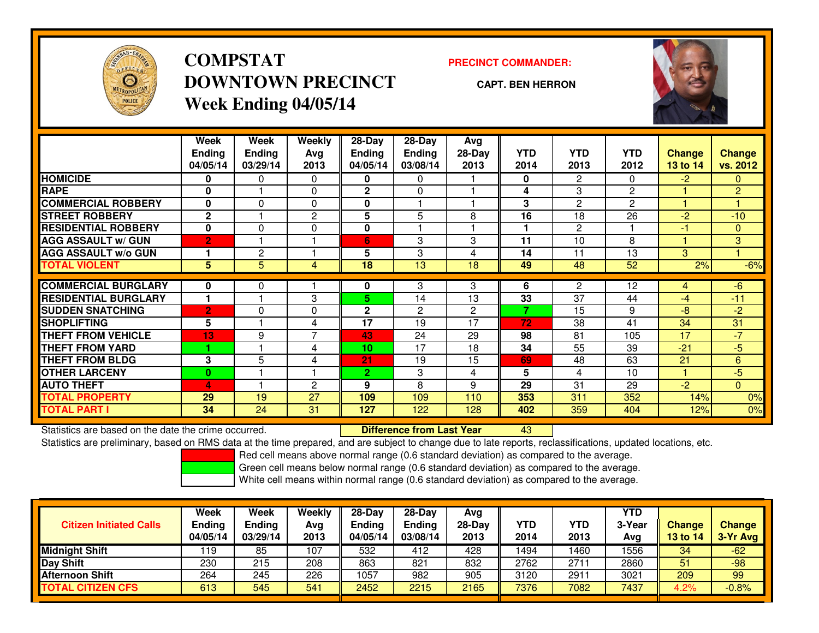

# **COMPSTATDOWNTOWN PRECINCTWeek Ending 04/05/14**

### **PRECINCT COMMANDER:**

**CAPT. BEN HERRON**

<sup>43</sup>



|                             | Week                 | Week          | Weekly         | $28 - Day$     | $28$ -Day      | Avg            |            |                      |                |          |                |
|-----------------------------|----------------------|---------------|----------------|----------------|----------------|----------------|------------|----------------------|----------------|----------|----------------|
|                             | <b>Ending</b>        | <b>Ending</b> | Avg            | <b>Ending</b>  | <b>Ending</b>  | 28-Day         | <b>YTD</b> | <b>YTD</b>           | <b>YTD</b>     | Change   | <b>Change</b>  |
|                             | 04/05/14             | 03/29/14      | 2013           | 04/05/14       | 03/08/14       | 2013           | 2014       | 2013                 | 2012           | 13 to 14 | vs. 2012       |
| <b>HOMICIDE</b>             | 0                    | 0             | 0              | 0              | 0              |                | 0          | $\mathbf{2}^{\circ}$ | 0              | $-2$     | 0              |
| <b>RAPE</b>                 | 0                    |               | 0              | $\mathbf{2}$   | $\Omega$       |                | 4          | 3                    | $\overline{c}$ |          | $\overline{c}$ |
| <b>COMMERCIAL ROBBERY</b>   | 0                    | $\Omega$      | 0              | 0              |                |                | 3          | $\overline{2}$       | $\overline{c}$ |          |                |
| <b>STREET ROBBERY</b>       | $\mathbf{2}$         |               | 2              | 5              | 5              | 8              | 16         | 18                   | 26             | $-2$     | $-10$          |
| <b>RESIDENTIAL ROBBERY</b>  | 0                    | 0             | 0              | $\bf{0}$       |                |                | 1          | 2                    |                | -1       | $\mathbf{0}$   |
| <b>AGG ASSAULT w/ GUN</b>   | $\overline{2}$       |               |                | 6              | 3              | 3              | 11         | 10                   | 8              |          | 3              |
| <b>AGG ASSAULT w/o GUN</b>  |                      | 2             |                | 5              | 3              | 4              | 14         | 11                   | 13             | 3        |                |
| <b>TOTAL VIOLENT</b>        | 5                    | 5             | 4              | 18             | 13             | 18             | 49         | 48                   | 52             | 2%       | $-6%$          |
| <b>COMMERCIAL BURGLARY</b>  |                      |               |                |                |                | 3              | 6          | 2                    | 12             |          |                |
|                             | 0                    | 0             |                | 0              | 3              |                |            |                      |                | 4        | $-6$           |
| <b>RESIDENTIAL BURGLARY</b> | $\blacktriangleleft$ |               | 3              | 5              | 14             | 13             | 33         | 37                   | 44             | $-4$     | $-11$          |
| <b>SUDDEN SNATCHING</b>     | $\overline{2}$       | $\Omega$      | 0              | $\mathbf{2}$   | $\overline{2}$ | $\overline{2}$ | 7          | 15                   | 9              | -8       | $-2$           |
| <b>SHOPLIFTING</b>          | 5                    |               | 4              | 17             | 19             | 17             | 72         | 38                   | 41             | 34       | 31             |
| <b>THEFT FROM VEHICLE</b>   | 13                   | 9             | $\overline{7}$ | 43             | 24             | 29             | 98         | 81                   | 105            | 17       | $-7$           |
| <b>THEFT FROM YARD</b>      |                      |               | 4              | 10             | 17             | 18             | 34         | 55                   | 39             | $-21$    | $-5$           |
| <b>THEFT FROM BLDG</b>      | 3                    | 5             | 4              | 21             | 19             | 15             | 69         | 48                   | 63             | 21       | 6              |
| <b>OTHER LARCENY</b>        | $\bf{0}$             |               | ۹              | $\overline{2}$ | 3              | 4              | 5          | 4                    | 10             |          | $-5$           |
| <b>AUTO THEFT</b>           | 4                    |               | $\overline{c}$ | 9              | 8              | 9              | 29         | 31                   | 29             | $-2$     | $\mathbf{0}$   |
| <b>TOTAL PROPERTY</b>       | 29                   | 19            | 27             | 109            | 109            | 110            | 353        | 311                  | 352            | 14%      | 0%             |
| <b>TOTAL PART I</b>         | 34                   | 24            | 31             | 127            | 122            | 128            | 402        | 359                  | 404            | 12%      | 0%             |

Statistics are based on the date the crime occurred. **Difference from Last Year** 

Statistics are preliminary, based on RMS data at the time prepared, and are subject to change due to late reports, reclassifications, updated locations, etc.

Red cell means above normal range (0.6 standard deviation) as compared to the average.

Green cell means below normal range (0.6 standard deviation) as compared to the average.

|                                | Week                      | <b>Week</b>               | Weekly      | $28-Day$                  | $28-Dav$           | Avg              |             |                    | <b>YTD</b>    |                           |                           |
|--------------------------------|---------------------------|---------------------------|-------------|---------------------------|--------------------|------------------|-------------|--------------------|---------------|---------------------------|---------------------------|
| <b>Citizen Initiated Calls</b> | <b>Ending</b><br>04/05/14 | <b>Ending</b><br>03/29/14 | Avg<br>2013 | <b>Ending</b><br>04/05/14 | Ending<br>03/08/14 | $28-Dav$<br>2013 | YTD<br>2014 | <b>YTD</b><br>2013 | 3-Year<br>Avg | <b>Change</b><br>13 to 14 | <b>Change</b><br>3-Yr Avg |
| <b>Midnight Shift</b>          | ' 19                      | 85                        | 107         | 532                       | 412                | 428              | 1494        | 460                | 1556          | 34                        | $-62$                     |
| Day Shift                      | 230                       | 215                       | 208         | 863                       | 821                | 832              | 2762        | 271                | 2860          | 51                        | $-98$                     |
| <b>Afternoon Shift</b>         | 264                       | 245                       | 226         | 1057                      | 982                | 905              | 3120        | 2911               | 3021          | 209                       | 99                        |
| <b>TOTAL CITIZEN CFS</b>       | 613                       | 545                       | 541         | 2452                      | 2215               | 2165             | 7376        | 7082               | 7437          | 4.2%                      | $-0.8%$                   |
|                                |                           |                           |             |                           |                    |                  |             |                    |               |                           |                           |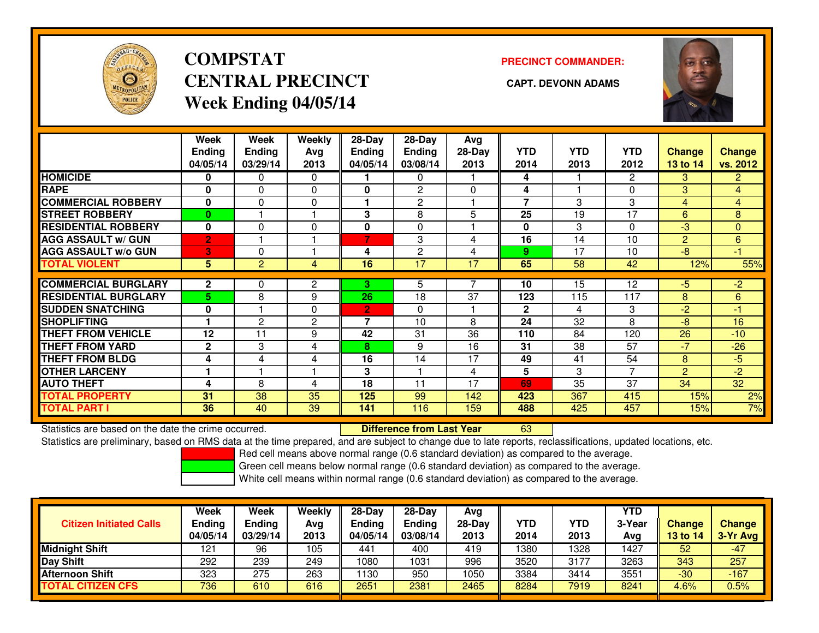

# **COMPSTATCENTRAL PRECINCT CAPT. DEVONN ADAMSWeek Ending 04/05/14**

**PRECINCT COMMANDER:**



|                             | Week<br>Ending<br>04/05/14 | Week<br><b>Ending</b><br>03/29/14 | Weekly<br>Avg<br>2013 | $28-Day$<br>Ending<br>04/05/14 | $28-Day$<br><b>Ending</b><br>03/08/14 | Avg<br>$28-Day$<br>2013 | <b>YTD</b><br>2014 | <b>YTD</b><br>2013 | <b>YTD</b><br>2012 | <b>Change</b><br>13 to 14 | <b>Change</b><br>vs. 2012 |
|-----------------------------|----------------------------|-----------------------------------|-----------------------|--------------------------------|---------------------------------------|-------------------------|--------------------|--------------------|--------------------|---------------------------|---------------------------|
| <b>HOMICIDE</b>             | 0                          | 0                                 | $\Omega$              |                                | $\mathbf{0}$                          |                         | 4                  |                    | 2                  | 3                         | $\overline{2}$            |
| <b>RAPE</b>                 | $\bf{0}$                   | 0                                 | $\Omega$              | 0                              | 2                                     | $\Omega$                | 4                  |                    | 0                  | 3                         | $\overline{4}$            |
| <b>COMMERCIAL ROBBERY</b>   | $\bf{0}$                   | 0                                 | $\mathbf 0$           |                                | $\overline{2}$                        |                         | $\overline{7}$     | 3                  | 3                  | 4                         | $\overline{4}$            |
| <b>STREET ROBBERY</b>       | 0                          |                                   |                       | 3                              | 8                                     | 5                       | 25                 | 19                 | 17                 | 6                         | 8                         |
| <b>RESIDENTIAL ROBBERY</b>  | $\bf{0}$                   | 0                                 | $\mathbf 0$           | 0                              | $\Omega$                              |                         | 0                  | 3                  | 0                  | -3                        | $\mathbf{0}$              |
| <b>AGG ASSAULT w/ GUN</b>   | $\overline{2}$             |                                   |                       | 7                              | 3                                     | 4                       | 16                 | 14                 | 10                 | 2                         | 6                         |
| <b>AGG ASSAULT w/o GUN</b>  | 3                          | 0                                 |                       | 4                              | $\overline{2}$                        | 4                       | 9                  | 17                 | 10                 | -8                        | -1                        |
| <b>TOTAL VIOLENT</b>        | 5                          | $\overline{2}$                    | 4                     | 16                             | 17                                    | 17                      | 65                 | 58                 | 42                 | 12%                       | 55%                       |
|                             |                            |                                   |                       |                                |                                       |                         |                    |                    |                    |                           |                           |
| <b>COMMERCIAL BURGLARY</b>  | $\mathbf{2}$               | 0                                 | 2                     | 3.                             | 5                                     |                         | 10                 | $1\overline{5}$    | 12                 | -5                        | $-2$                      |
| <b>RESIDENTIAL BURGLARY</b> | 5                          | 8                                 | 9                     | 26                             | 18                                    | 37                      | 123                | 115                | 117                | 8                         | 6                         |
| <b>SUDDEN SNATCHING</b>     | 0                          |                                   | $\Omega$              | $\overline{2}$                 | $\Omega$                              |                         | $\mathbf{2}$       | 4                  | 3                  | $-2$                      | -1                        |
| <b>SHOPLIFTING</b>          |                            | $\overline{2}$                    | $\overline{2}$        | 7                              | 10                                    | 8                       | 24                 | 32                 | 8                  | -8                        | 16                        |
| <b>THEFT FROM VEHICLE</b>   | 12                         | 11                                | 9                     | 42                             | 31                                    | 36                      | 110                | 84                 | 120                | 26                        | $-10$                     |
| <b>THEFT FROM YARD</b>      | $\mathbf{2}$               | 3                                 | 4                     | 8                              | 9                                     | 16                      | 31                 | 38                 | 57                 | -7                        | $-26$                     |
| <b>THEFT FROM BLDG</b>      | 4                          | 4                                 | 4                     | 16                             | 14                                    | 17                      | 49                 | 41                 | 54                 | 8                         | $-5$                      |
| <b>OTHER LARCENY</b>        |                            |                                   |                       | 3                              |                                       | 4                       | 5                  | 3                  | 7                  | 2                         | $-2$                      |
| <b>AUTO THEFT</b>           | 4                          | 8                                 | 4                     | 18                             | 11                                    | 17                      | 69                 | 35                 | 37                 | 34                        | 32                        |
| <b>TOTAL PROPERTY</b>       | 31                         | 38                                | 35                    | 125                            | 99                                    | 142                     | 423                | 367                | 415                | 15%                       | 2%                        |
| <b>TOTAL PART I</b>         | 36                         | 40                                | 39                    | 141                            | 116                                   | 159                     | 488                | 425                | 457                | 15%                       | 7%                        |

Statistics are based on the date the crime occurred. **Difference from Last Year** 

Statistics are based on the date the crime occurred. **Externee the Difference from Last Year http://**<br>Statistics are preliminary, based on RMS data at the time prepared, and are subject to change due to late reports, recla

Red cell means above normal range (0.6 standard deviation) as compared to the average.

Green cell means below normal range (0.6 standard deviation) as compared to the average.

| <b>Citizen Initiated Calls</b> | <b>Week</b><br><b>Ending</b><br>04/05/14 | Week<br><b>Ending</b><br>03/29/14 | Weekly<br>Avg<br>2013 | $28-Day$<br><b>Ending</b><br>04/05/14 | $28-Dav$<br>Ending<br>03/08/14 | Avg<br>$28-Day$<br>2013 | YTD<br>2014 | <b>YTD</b><br>2013 | YTD<br>3-Year<br>Avg | Change<br>13 to 14 | <b>Change</b><br>3-Yr Avg |
|--------------------------------|------------------------------------------|-----------------------------------|-----------------------|---------------------------------------|--------------------------------|-------------------------|-------------|--------------------|----------------------|--------------------|---------------------------|
| <b>Midnight Shift</b>          | 121                                      | 96                                | 105                   | 441                                   | 400                            | 419                     | 1380        | 1328               | 1427                 | 52                 | $-47$                     |
| <b>Day Shift</b>               | 292                                      | 239                               | 249                   | 1080                                  | 1031                           | 996                     | 3520        | 3177               | 3263                 | 343                | 257                       |
| <b>Afternoon Shift</b>         | 323                                      | 275                               | 263                   | 130                                   | 950                            | 1050                    | 3384        | 3414               | 3551                 | $-30$              | $-167$                    |
| <b>TOTAL CITIZEN CFS</b>       | 736                                      | 610                               | 616                   | 2651                                  | 2381                           | 2465                    | 8284        | 7919               | 8241                 | 4.6%               | 0.5%                      |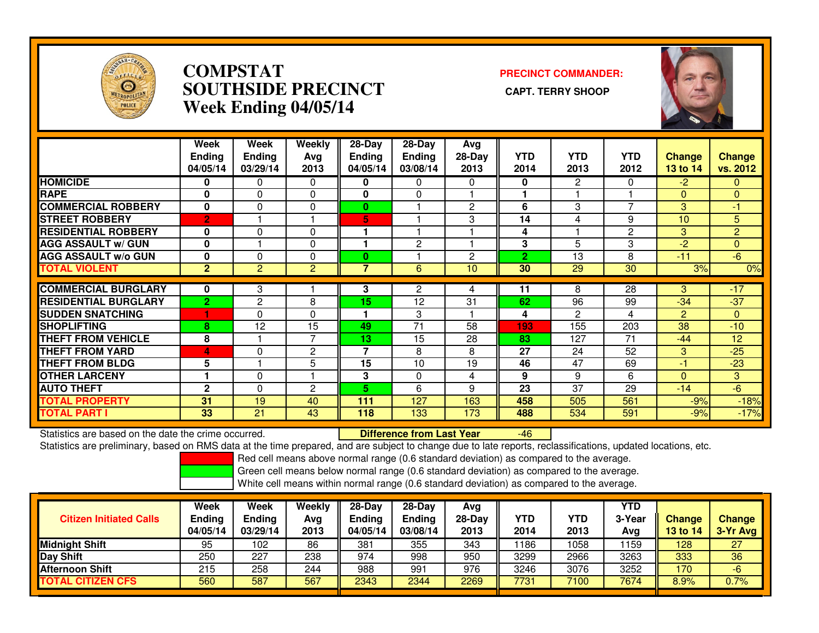

## **COMPSTAT PRECINCT COMMANDER: SOUTHSIDE PRECINCT CAPT. TERRY SHOOPWeek Ending 04/05/14**



|                             | Week<br><b>Ending</b><br>04/05/14 | Week<br><b>Ending</b><br>03/29/14 | <b>Weekly</b><br>Avg<br>2013 | $28-Day$<br>Ending<br>04/05/14 | $28-Day$<br><b>Ending</b><br>03/08/14 | Avg<br>28-Day<br>2013 | <b>YTD</b><br>2014 | <b>YTD</b><br>2013 | <b>YTD</b><br>2012 | <b>Change</b><br>13 to 14 | Change<br>vs. 2012 |
|-----------------------------|-----------------------------------|-----------------------------------|------------------------------|--------------------------------|---------------------------------------|-----------------------|--------------------|--------------------|--------------------|---------------------------|--------------------|
| <b>HOMICIDE</b>             | 0                                 | 0                                 | $\Omega$                     | 0                              | 0                                     | 0                     | 0                  | $\overline{2}$     | $\mathbf{0}$       | $-2$                      | $\mathbf{0}$       |
| <b>RAPE</b>                 | 0                                 | $\Omega$                          | 0                            | 0                              | $\Omega$                              |                       |                    |                    |                    | $\Omega$                  | $\mathbf{0}$       |
| <b>COMMERCIAL ROBBERY</b>   | $\mathbf 0$                       | 0                                 | 0                            | $\bf{0}$                       |                                       | $\overline{2}$        | 6                  | 3                  | $\overline{7}$     | 3                         | $-1$               |
| <b>STREET ROBBERY</b>       | $\overline{2}$                    |                                   | н                            | 5                              |                                       | 3                     | 14                 | 4                  | 9                  | 10                        | 5                  |
| <b>RESIDENTIAL ROBBERY</b>  | 0                                 | $\Omega$                          | $\Omega$                     |                                |                                       |                       | 4                  |                    | $\overline{2}$     | 3                         | $\overline{2}$     |
| <b>AGG ASSAULT w/ GUN</b>   | $\bf{0}$                          |                                   | 0                            |                                | $\mathbf{2}$                          |                       | 3                  | 5                  | 3                  | $-2$                      | $\overline{0}$     |
| <b>AGG ASSAULT w/o GUN</b>  | 0                                 | 0                                 | 0                            | $\bf{0}$                       |                                       | $\overline{2}$        | $\overline{2}$     | 13                 | 8                  | $-11$                     | $-6$               |
| <b>TOTAL VIOLENT</b>        | $\mathbf{2}$                      | $\overline{2}$                    | $\overline{2}$               | 7                              | 6                                     | 10                    | 30                 | 29                 | 30                 | 3%                        | 0%                 |
|                             |                                   |                                   |                              |                                |                                       |                       |                    |                    |                    |                           |                    |
| <b>COMMERCIAL BURGLARY</b>  | 0                                 | 3                                 |                              | 3                              | $\mathbf{2}$                          | 4                     | 11                 | 8                  | $\overline{28}$    | 3                         | $-17$              |
| <b>RESIDENTIAL BURGLARY</b> | $\overline{2}$                    | 2                                 | 8                            | 15                             | 12                                    | 31                    | 62                 | 96                 | 99                 | $-34$                     | $-37$              |
| <b>SUDDEN SNATCHING</b>     | н                                 | 0                                 | 0                            |                                | 3                                     |                       | 4                  | 2                  | 4                  | $\overline{2}$            | $\mathbf{0}$       |
| <b>SHOPLIFTING</b>          | 8                                 | 12                                | 15                           | 49                             | 71                                    | 58                    | 193                | 155                | 203                | 38                        | $-10$              |
| <b>THEFT FROM VEHICLE</b>   | 8                                 |                                   | $\overline{7}$               | 13                             | 15                                    | 28                    | 83                 | 127                | 71                 | $-44$                     | 12                 |
| <b>THEFT FROM YARD</b>      | 4                                 | 0                                 | $\overline{c}$               | 7                              | 8                                     | 8                     | 27                 | 24                 | 52                 | 3                         | $-25$              |
| <b>THEFT FROM BLDG</b>      | 5                                 |                                   | 5                            | 15                             | 10                                    | 19                    | 46                 | 47                 | 69                 | $-1$                      | $-23$              |
| <b>OTHER LARCENY</b>        |                                   | $\Omega$                          |                              | 3                              | $\Omega$                              | 4                     | 9                  | 9                  | 6                  | $\Omega$                  | 3                  |
| <b>AUTO THEFT</b>           | $\mathbf{2}$                      | 0                                 | $\overline{c}$               | 5.                             | 6                                     | 9                     | 23                 | 37                 | 29                 | $-14$                     | $-6$               |
| <b>TOTAL PROPERTY</b>       | 31                                | 19                                | 40                           | 111                            | 127                                   | 163                   | 458                | 505                | 561                | $-9%$                     | $-18%$             |
| <b>TOTAL PART I</b>         | 33                                | 21                                | 43                           | 118                            | 133                                   | 173                   | 488                | 534                | 591                | $-9%$                     | $-17%$             |

Statistics are based on the date the crime occurred. **Difference from Last Year** 

Statistics are based on the date the crime occurred. **Externee the Difference from Last Year Theoren 16 Ferne**<br>Statistics are preliminary, based on RMS data at the time prepared, and are subject to change due to late repor

Red cell means above normal range (0.6 standard deviation) as compared to the average.

Green cell means below normal range (0.6 standard deviation) as compared to the average.

| <b>Citizen Initiated Calls</b> | Week<br>Ending<br>04/05/14 | Week<br>Ending<br>03/29/14 | Weekly<br>Avg<br>2013 | $28-Day$<br><b>Ending</b><br>04/05/14 | $28-Day$<br><b>Ending</b><br>03/08/14 | Avg<br>$28-Day$<br>2013 | YTD<br>2014 | YTD<br>2013 | <b>YTD</b><br>3-Year<br>Avg | <b>Change</b><br>13 to 14 | <b>Change</b><br>3-Yr Avg |
|--------------------------------|----------------------------|----------------------------|-----------------------|---------------------------------------|---------------------------------------|-------------------------|-------------|-------------|-----------------------------|---------------------------|---------------------------|
| <b>Midnight Shift</b>          | 95                         | 102                        | 86                    | 381                                   | 355                                   | 343                     | 1186        | 1058        | 1159                        | 128                       | 27                        |
| Day Shift                      | 250                        | 227                        | 238                   | 974                                   | 998                                   | 950                     | 3299        | 2966        | 3263                        | 333                       | 36                        |
| <b>Afternoon Shift</b>         | 215                        | 258                        | 244                   | 988                                   | 991                                   | 976                     | 3246        | 3076        | 3252                        | 170                       | -6                        |
| <b>TOTAL CITIZEN CFS</b>       | 560                        | 587                        | 567                   | 2343                                  | 2344                                  | 2269                    | 7731        | 7100        | 7674                        | 8.9%                      | $0.7\%$                   |